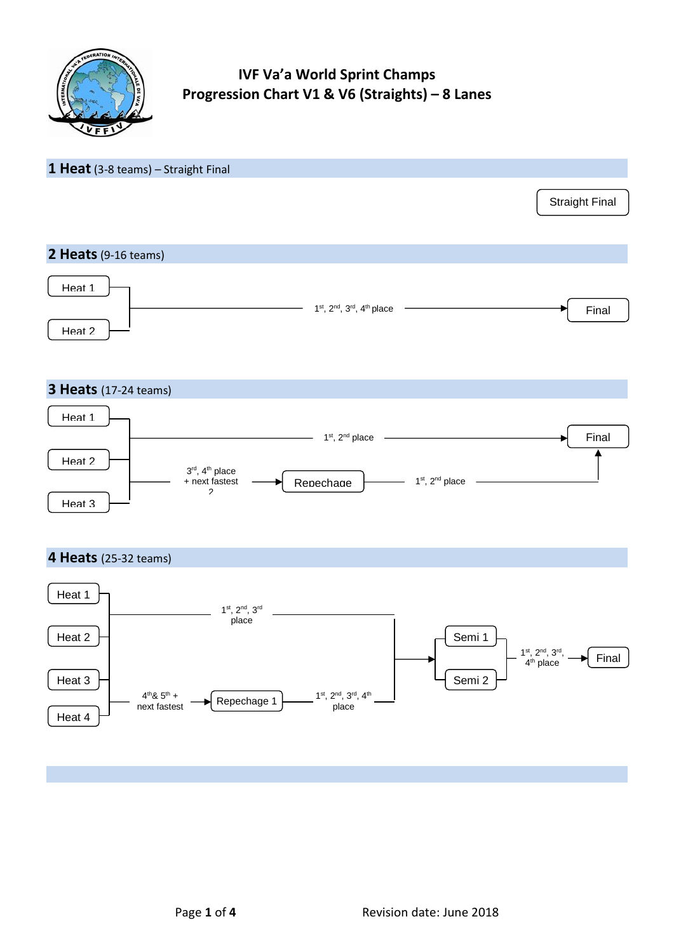

# **IVF Va'a World Sprint Champs Progression Chart V1 & V6 (Straights) – 8 Lanes**

## **1 Heat** (3-8 teams) – Straight Final

# Straight Final

## **2 Heats**(9-16 teams)



## **3 Heats** (17-24 teams)



## **4 Heats** (25-32 teams)

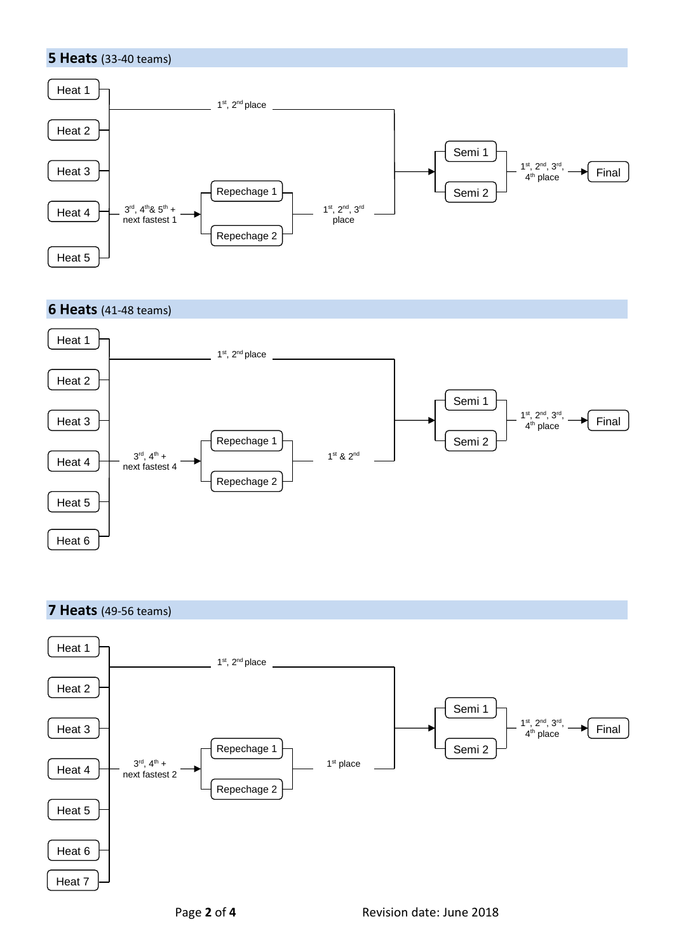



## **6 Heats** (41-48 teams)



## **7 Heats** (49-56 teams)

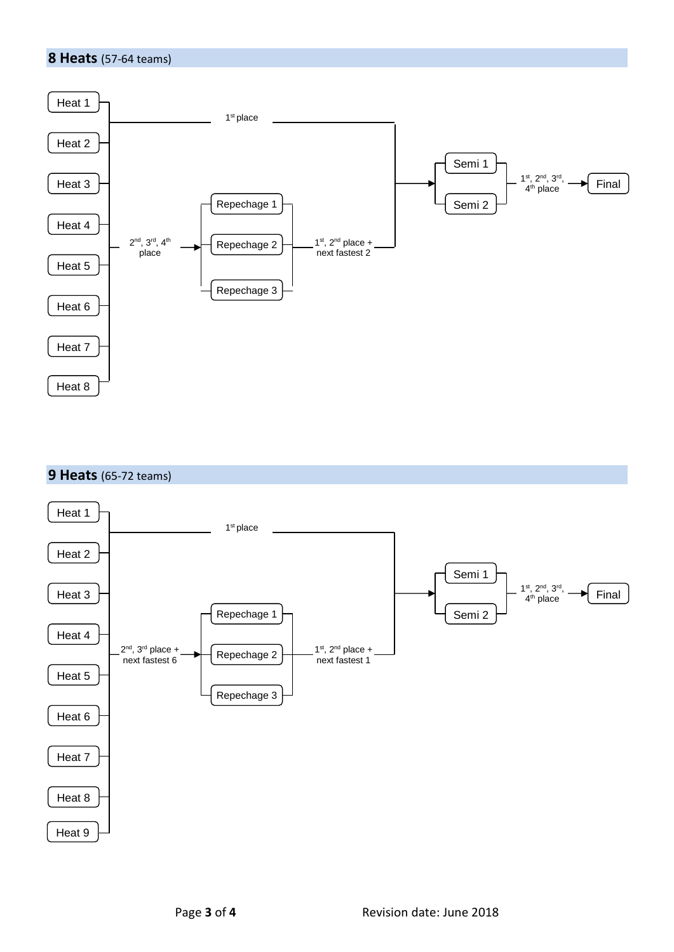#### **8 Heats** (57-64 teams)



## **9 Heats** (65-72 teams)